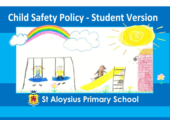## **Child Safety Policy - Student Version**

# **St Aloysius Primary School**

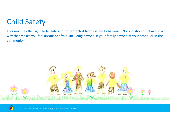## Child Safety

Everyone has the right to be safe and be protected from unsafe behaviours. No one should behave in a way that makes you feel unsafe or afraid, including anyone in your family anyone at your school or in the community.



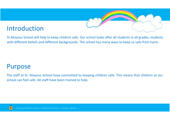#### Introduction

St Aloysius School will help to keep children safe. Our school looks after all students in all grades, students with different beliefs and different backgrounds. The school has many ways to keep us safe from harm.

#### Purpose

The staff at St. Aloysius School have committed to keeping children safe. This means that children at our school can feel safe. All staff have been trained to help.

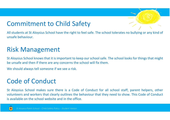#### Commitment to Child Safety

All students at St Aloysius School have the right to feel safe. The school tolerates no bullying or any kind of unsafe behaviour.

#### Risk Management

St Aloysius School knows that it is important to keep our school safe. The school looks for things that might be unsafe and then if there are any concerns the school will fix them.

We should always tell someone if we see a risk.

#### Code of Conduct

St Aloysius School makes sure there is a Code of Conduct for all school staff, parent helpers, other volunteers and workers that clearly outlines the behaviour that they need to show. This Code of Conduct is available on the school website and in the office.



*St Aloysius Parish School – Child Safety Policy – Student Version*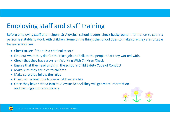### Employing staff and staff training

Before employing staff and helpers, St Aloysius, school leaders check background information to see if a person is suitable to work with children. Some of the things the school does to make sure they are suitable for our school are:

- Check to see if there is a criminal record
- Find out what they did for their last job and talk to the people that they worked with.
- Check that they have a current Working With Children Check
- Ensure that they read and sign the school's Child Safety Code of Conduct
- Make sure they are nice to children
- Make sure they follow the rules
- Give them a trial time to see what they are like
- Once they have settled into St. Aloysius School they will get more information and training about child safety



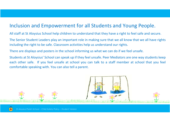#### Inclusion and Empowerment for all Students and Young People.

All staff at St Aloysius School help children to understand that they have a right to feel safe and secure.

The Senior Student Leaders play an important role in making sure that we all know that we all have rights including the right to be safe. Classroom activities help us understand our rights.

There are displays and posters in the school informing us what we can do if we feel unsafe.

Students at St Aloysius' School can speak up if they feel unsafe. Peer Mediators are one way students keep each other safe. If you feel unsafe at school you can talk to a staff member at school that you feel comfortable speaking with. You can also tell a parent.